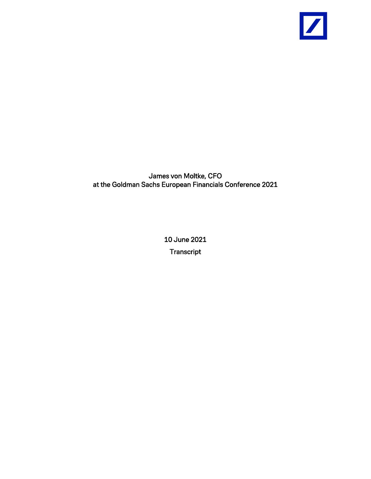

James von Moltke, CFO at the Goldman Sachs European Financials Conference 2021

> 10 June 2021 **Transcript**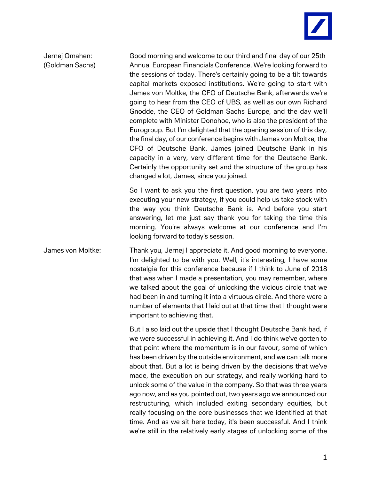

Jernej Omahen: Good morning and welcome to our third and final day of our 25th (Goldman Sachs) Annual European Financials Conference. We're looking forward to the sessions of today. There's certainly going to be a tilt towards capital markets exposed institutions. We're going to start with James von Moltke, the CFO of Deutsche Bank, afterwards we're going to hear from the CEO of UBS, as well as our own Richard Gnodde, the CEO of Goldman Sachs Europe, and the day we'll complete with Minister Donohoe, who is also the president of the Eurogroup. But I'm delighted that the opening session of this day, the final day, of our conference begins with James von Moltke, the CFO of Deutsche Bank. James joined Deutsche Bank in his capacity in a very, very different time for the Deutsche Bank. Certainly the opportunity set and the structure of the group has changed a lot, James, since you joined.

> So I want to ask you the first question, you are two years into executing your new strategy, if you could help us take stock with the way you think Deutsche Bank is. And before you start answering, let me just say thank you for taking the time this morning. You're always welcome at our conference and I'm looking forward to today's session.

James von Moltke: Thank you, Jernej I appreciate it. And good morning to everyone. I'm delighted to be with you. Well, it's interesting, I have some nostalgia for this conference because if I think to June of 2018 that was when I made a presentation, you may remember, where we talked about the goal of unlocking the vicious circle that we had been in and turning it into a virtuous circle. And there were a number of elements that I laid out at that time that I thought were important to achieving that.

> But I also laid out the upside that I thought Deutsche Bank had, if we were successful in achieving it. And I do think we've gotten to that point where the momentum is in our favour, some of which has been driven by the outside environment, and we can talk more about that. But a lot is being driven by the decisions that we've made, the execution on our strategy, and really working hard to unlock some of the value in the company. So that was three years ago now, and as you pointed out, two years ago we announced our restructuring, which included exiting secondary equities, but really focusing on the core businesses that we identified at that time. And as we sit here today, it's been successful. And I think we're still in the relatively early stages of unlocking some of the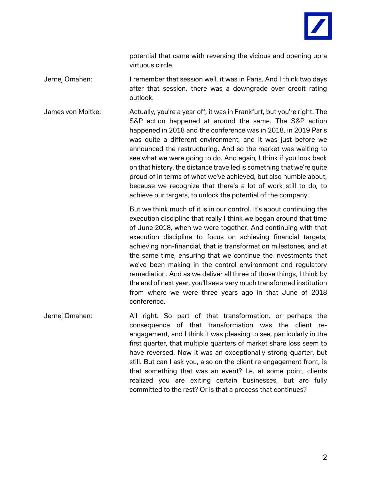

potential that came with reversing the vicious and opening up a virtuous circle.

- Jernej Omahen: I remember that session well, it was in Paris. And I think two days after that session, there was a downgrade over credit rating outlook.
- James von Moltke: Actually, you're a year off, it was in Frankfurt, but you're right. The S&P action happened at around the same. The S&P action happened in 2018 and the conference was in 2018, in 2019 Paris was quite a different environment, and it was just before we announced the restructuring. And so the market was waiting to see what we were going to do. And again, I think if you look back on that history, the distance travelled is something that we're quite proud of in terms of what we've achieved, but also humble about, because we recognize that there's a lot of work still to do, to achieve our targets, to unlock the potential of the company.

But we think much of it is in our control. It's about continuing the execution discipline that really I think we began around that time of June 2018, when we were together. And continuing with that execution discipline to focus on achieving financial targets, achieving non-financial, that is transformation milestones, and at the same time, ensuring that we continue the investments that we've been making in the control environment and regulatory remediation. And as we deliver all three of those things, I think by the end of next year, you'll see a very much transformed institution from where we were three years ago in that June of 2018 conference.

Jernej Omahen: All right. So part of that transformation, or perhaps the consequence of that transformation was the client reengagement, and I think it was pleasing to see, particularly in the first quarter, that multiple quarters of market share loss seem to have reversed. Now it was an exceptionally strong quarter, but still. But can I ask you, also on the client re engagement front, is that something that was an event? I.e. at some point, clients realized you are exiting certain businesses, but are fully committed to the rest? Or is that a process that continues?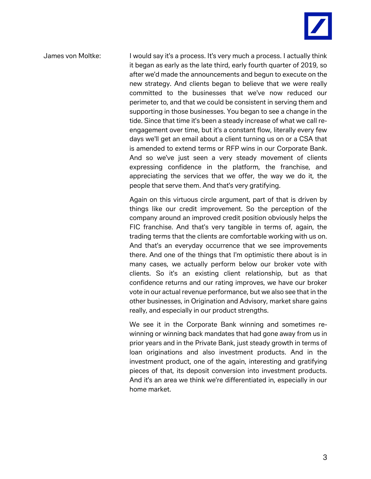

James von Moltke: I would say it's a process. It's very much a process. I actually think it began as early as the late third, early fourth quarter of 2019, so after we'd made the announcements and begun to execute on the new strategy. And clients began to believe that we were really committed to the businesses that we've now reduced our perimeter to, and that we could be consistent in serving them and supporting in those businesses. You began to see a change in the tide. Since that time it's been a steady increase of what we call reengagement over time, but it's a constant flow, literally every few days we'll get an email about a client turning us on or a CSA that is amended to extend terms or RFP wins in our Corporate Bank. And so we've just seen a very steady movement of clients expressing confidence in the platform, the franchise, and appreciating the services that we offer, the way we do it, the people that serve them. And that's very gratifying.

> Again on this virtuous circle argument, part of that is driven by things like our credit improvement. So the perception of the company around an improved credit position obviously helps the FIC franchise. And that's very tangible in terms of, again, the trading terms that the clients are comfortable working with us on. And that's an everyday occurrence that we see improvements there. And one of the things that I'm optimistic there about is in many cases, we actually perform below our broker vote with clients. So it's an existing client relationship, but as that confidence returns and our rating improves, we have our broker vote in our actual revenue performance, but we also see that in the other businesses, in Origination and Advisory, market share gains really, and especially in our product strengths.

> We see it in the Corporate Bank winning and sometimes rewinning or winning back mandates that had gone away from us in prior years and in the Private Bank, just steady growth in terms of loan originations and also investment products. And in the investment product, one of the again, interesting and gratifying pieces of that, its deposit conversion into investment products. And it's an area we think we're differentiated in, especially in our home market.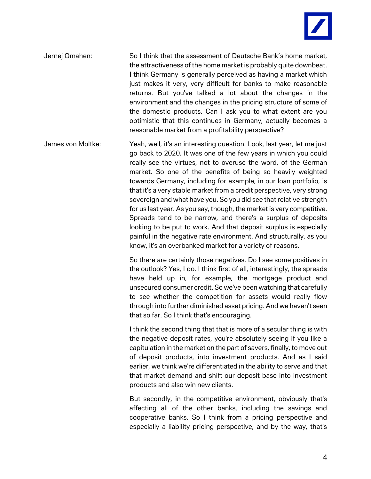

Jernej Omahen: So I think that the assessment of Deutsche Bank's home market, the attractiveness of the home market is probably quite downbeat. I think Germany is generally perceived as having a market which just makes it very, very difficult for banks to make reasonable returns. But you've talked a lot about the changes in the environment and the changes in the pricing structure of some of the domestic products. Can I ask you to what extent are you optimistic that this continues in Germany, actually becomes a reasonable market from a profitability perspective?

James von Moltke: Yeah, well, it's an interesting question. Look, last year, let me just go back to 2020. It was one of the few years in which you could really see the virtues, not to overuse the word, of the German market. So one of the benefits of being so heavily weighted towards Germany, including for example, in our loan portfolio, is that it's a very stable market from a credit perspective, very strong sovereign and what have you. So you did see that relative strength for us last year. As you say, though, the market is very competitive. Spreads tend to be narrow, and there's a surplus of deposits looking to be put to work. And that deposit surplus is especially painful in the negative rate environment. And structurally, as you know, it's an overbanked market for a variety of reasons.

> So there are certainly those negatives. Do I see some positives in the outlook? Yes, I do. I think first of all, interestingly, the spreads have held up in, for example, the mortgage product and unsecured consumer credit. So we've been watching that carefully to see whether the competition for assets would really flow through into further diminished asset pricing. And we haven't seen that so far. So I think that's encouraging.

> I think the second thing that that is more of a secular thing is with the negative deposit rates, you're absolutely seeing if you like a capitulation in the market on the part of savers, finally, to move out of deposit products, into investment products. And as I said earlier, we think we're differentiated in the ability to serve and that that market demand and shift our deposit base into investment products and also win new clients.

> But secondly, in the competitive environment, obviously that's affecting all of the other banks, including the savings and cooperative banks. So I think from a pricing perspective and especially a liability pricing perspective, and by the way, that's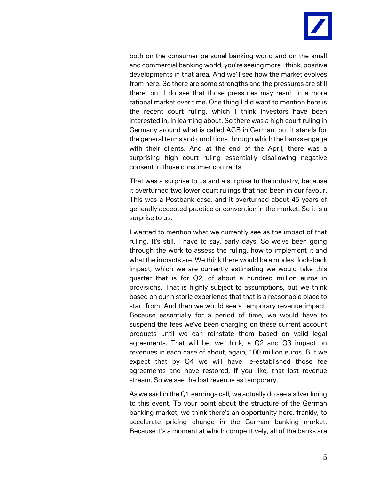

both on the consumer personal banking world and on the small and commercial banking world, you're seeing more I think, positive developments in that area. And we'll see how the market evolves from here. So there are some strengths and the pressures are still there, but I do see that those pressures may result in a more rational market over time. One thing I did want to mention here is the recent court ruling, which I think investors have been interested in, in learning about. So there was a high court ruling in Germany around what is called AGB in German, but it stands for the general terms and conditions through which the banks engage with their clients. And at the end of the April, there was a surprising high court ruling essentially disallowing negative consent in those consumer contracts.

That was a surprise to us and a surprise to the industry, because it overturned two lower court rulings that had been in our favour. This was a Postbank case, and it overturned about 45 years of generally accepted practice or convention in the market. So it is a surprise to us.

I wanted to mention what we currently see as the impact of that ruling. It's still, I have to say, early days. So we've been going through the work to assess the ruling, how to implement it and what the impacts are. We think there would be a modest look-back impact, which we are currently estimating we would take this quarter that is for Q2, of about a hundred million euros in provisions. That is highly subject to assumptions, but we think based on our historic experience that that is a reasonable place to start from. And then we would see a temporary revenue impact. Because essentially for a period of time, we would have to suspend the fees we've been charging on these current account products until we can reinstate them based on valid legal agreements. That will be, we think, a Q2 and Q3 impact on revenues in each case of about, again, 100 million euros. But we expect that by Q4 we will have re-established those fee agreements and have restored, if you like, that lost revenue stream. So we see the lost revenue as temporary.

As we said in the Q1 earnings call, we actually do see a silver lining to this event. To your point about the structure of the German banking market, we think there's an opportunity here, frankly, to accelerate pricing change in the German banking market. Because it's a moment at which competitively, all of the banks are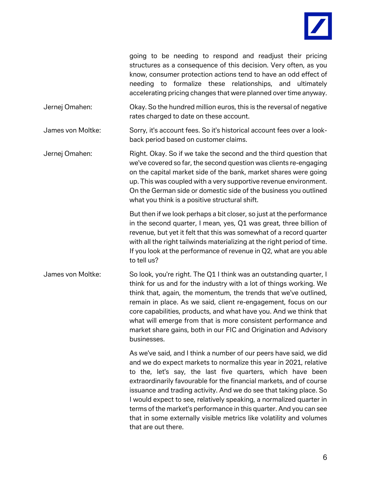|                                                                  |  |  | going to be needing to respond and readjust their pricing        |  |  |  |  |  |  |  |
|------------------------------------------------------------------|--|--|------------------------------------------------------------------|--|--|--|--|--|--|--|
|                                                                  |  |  | structures as a consequence of this decision. Very often, as you |  |  |  |  |  |  |  |
| know, consumer protection actions tend to have an odd effect of  |  |  |                                                                  |  |  |  |  |  |  |  |
|                                                                  |  |  | needing to formalize these relationships, and ultimately         |  |  |  |  |  |  |  |
| accelerating pricing changes that were planned over time anyway. |  |  |                                                                  |  |  |  |  |  |  |  |

Jernej Omahen: Okay. So the hundred million euros, this is the reversal of negative rates charged to date on these account.

James von Moltke: Sorry, it's account fees. So it's historical account fees over a lookback period based on customer claims.

Jernej Omahen: Right. Okay. So if we take the second and the third question that we've covered so far, the second question was clients re-engaging on the capital market side of the bank, market shares were going up. This was coupled with a very supportive revenue environment. On the German side or domestic side of the business you outlined what you think is a positive structural shift.

> But then if we look perhaps a bit closer, so just at the performance in the second quarter, I mean, yes, Q1 was great, three billion of revenue, but yet it felt that this was somewhat of a record quarter with all the right tailwinds materializing at the right period of time. If you look at the performance of revenue in Q2, what are you able to tell us?

James von Moltke: So look, you're right. The Q1 I think was an outstanding quarter, I think for us and for the industry with a lot of things working. We think that, again, the momentum, the trends that we've outlined, remain in place. As we said, client re-engagement, focus on our core capabilities, products, and what have you. And we think that what will emerge from that is more consistent performance and market share gains, both in our FIC and Origination and Advisory businesses.

> As we've said, and I think a number of our peers have said, we did and we do expect markets to normalize this year in 2021, relative to the, let's say, the last five quarters, which have been extraordinarily favourable for the financial markets, and of course issuance and trading activity. And we do see that taking place. So I would expect to see, relatively speaking, a normalized quarter in terms of the market's performance in this quarter. And you can see that in some externally visible metrics like volatility and volumes that are out there.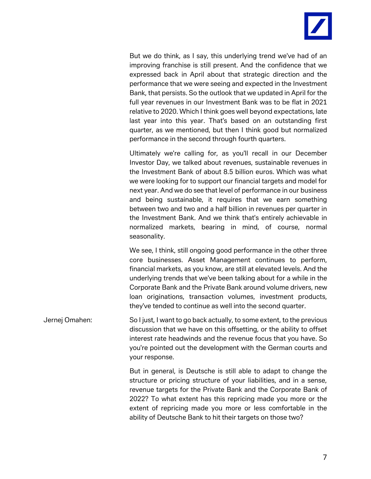

But we do think, as I say, this underlying trend we've had of an improving franchise is still present. And the confidence that we expressed back in April about that strategic direction and the performance that we were seeing and expected in the Investment Bank, that persists. So the outlook that we updated in April for the full year revenues in our Investment Bank was to be flat in 2021 relative to 2020. Which I think goes well beyond expectations, late last year into this year. That's based on an outstanding first quarter, as we mentioned, but then I think good but normalized performance in the second through fourth quarters.

Ultimately we're calling for, as you'll recall in our December Investor Day, we talked about revenues, sustainable revenues in the Investment Bank of about 8.5 billion euros. Which was what we were looking for to support our financial targets and model for next year. And we do see that level of performance in our business and being sustainable, it requires that we earn something between two and two and a half billion in revenues per quarter in the Investment Bank. And we think that's entirely achievable in normalized markets, bearing in mind, of course, normal seasonality.

We see, I think, still ongoing good performance in the other three core businesses. Asset Management continues to perform, financial markets, as you know, are still at elevated levels. And the underlying trends that we've been talking about for a while in the Corporate Bank and the Private Bank around volume drivers, new loan originations, transaction volumes, investment products, they've tended to continue as well into the second quarter.

Jernej Omahen: So I just, I want to go back actually, to some extent, to the previous discussion that we have on this offsetting, or the ability to offset interest rate headwinds and the revenue focus that you have. So you're pointed out the development with the German courts and your response.

> But in general, is Deutsche is still able to adapt to change the structure or pricing structure of your liabilities, and in a sense, revenue targets for the Private Bank and the Corporate Bank of 2022? To what extent has this repricing made you more or the extent of repricing made you more or less comfortable in the ability of Deutsche Bank to hit their targets on those two?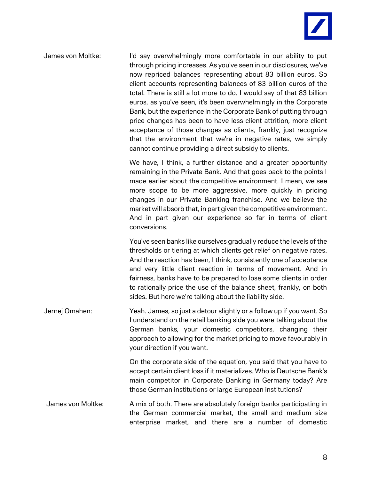

James von Moltke: I'd say overwhelmingly more comfortable in our ability to put through pricing increases. As you've seen in our disclosures, we've now repriced balances representing about 83 billion euros. So client accounts representing balances of 83 billion euros of the total. There is still a lot more to do. I would say of that 83 billion euros, as you've seen, it's been overwhelmingly in the Corporate Bank, but the experience in the Corporate Bank of putting through price changes has been to have less client attrition, more client acceptance of those changes as clients, frankly, just recognize that the environment that we're in negative rates, we simply cannot continue providing a direct subsidy to clients.

> We have, I think, a further distance and a greater opportunity remaining in the Private Bank. And that goes back to the points I made earlier about the competitive environment. I mean, we see more scope to be more aggressive, more quickly in pricing changes in our Private Banking franchise. And we believe the market will absorb that, in part given the competitive environment. And in part given our experience so far in terms of client conversions.

> You've seen banks like ourselves gradually reduce the levels of the thresholds or tiering at which clients get relief on negative rates. And the reaction has been, I think, consistently one of acceptance and very little client reaction in terms of movement. And in fairness, banks have to be prepared to lose some clients in order to rationally price the use of the balance sheet, frankly, on both sides. But here we're talking about the liability side.

Jernej Omahen: Yeah. James, so just a detour slightly or a follow up if you want. So I understand on the retail banking side you were talking about the German banks, your domestic competitors, changing their approach to allowing for the market pricing to move favourably in your direction if you want.

> On the corporate side of the equation, you said that you have to accept certain client loss if it materializes. Who is Deutsche Bank's main competitor in Corporate Banking in Germany today? Are those German institutions or large European institutions?

James von Moltke: A mix of both. There are absolutely foreign banks participating in the German commercial market, the small and medium size enterprise market, and there are a number of domestic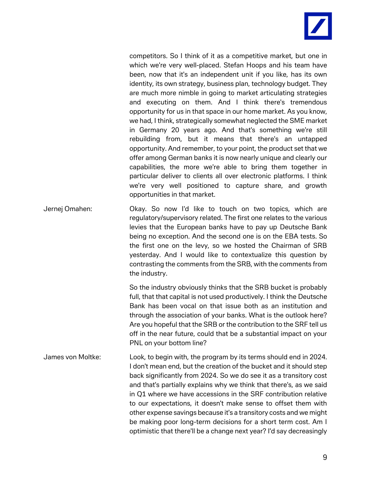

competitors. So I think of it as a competitive market, but one in which we're very well-placed. Stefan Hoops and his team have been, now that it's an independent unit if you like, has its own identity, its own strategy, business plan, technology budget. They are much more nimble in going to market articulating strategies and executing on them. And I think there's tremendous opportunity for us in that space in our home market. As you know, we had, I think, strategically somewhat neglected the SME market in Germany 20 years ago. And that's something we're still rebuilding from, but it means that there's an untapped opportunity. And remember, to your point, the product set that we offer among German banks it is now nearly unique and clearly our capabilities, the more we're able to bring them together in particular deliver to clients all over electronic platforms. I think we're very well positioned to capture share, and growth opportunities in that market.

Jernej Omahen: Okay. So now I'd like to touch on two topics, which are regulatory/supervisory related. The first one relates to the various levies that the European banks have to pay up Deutsche Bank being no exception. And the second one is on the EBA tests. So the first one on the levy, so we hosted the Chairman of SRB yesterday. And I would like to contextualize this question by contrasting the comments from the SRB, with the comments from the industry.

> So the industry obviously thinks that the SRB bucket is probably full, that that capital is not used productively. I think the Deutsche Bank has been vocal on that issue both as an institution and through the association of your banks. What is the outlook here? Are you hopeful that the SRB or the contribution to the SRF tell us off in the near future, could that be a substantial impact on your PNL on your bottom line?

James von Moltke: Look, to begin with, the program by its terms should end in 2024. I don't mean end, but the creation of the bucket and it should step back significantly from 2024. So we do see it as a transitory cost and that's partially explains why we think that there's, as we said in Q1 where we have accessions in the SRF contribution relative to our expectations, it doesn't make sense to offset them with other expense savings because it's a transitory costs and we might be making poor long-term decisions for a short term cost. Am I optimistic that there'll be a change next year? I'd say decreasingly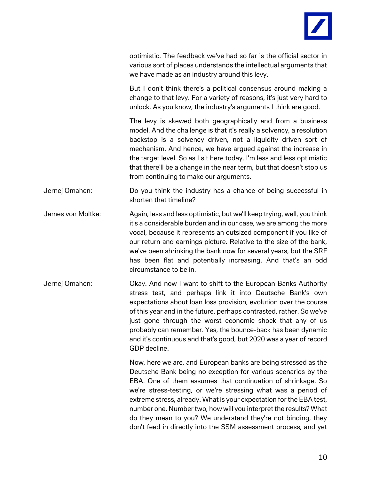

optimistic. The feedback we've had so far is the official sector in various sort of places understands the intellectual arguments that we have made as an industry around this levy.

But I don't think there's a political consensus around making a change to that levy. For a variety of reasons, it's just very hard to unlock. As you know, the industry's arguments I think are good.

The levy is skewed both geographically and from a business model. And the challenge is that it's really a solvency, a resolution backstop is a solvency driven, not a liquidity driven sort of mechanism. And hence, we have argued against the increase in the target level. So as I sit here today, I'm less and less optimistic that there'll be a change in the near term, but that doesn't stop us from continuing to make our arguments.

Jernej Omahen: Do you think the industry has a chance of being successful in shorten that timeline?

- James von Moltke: Again, less and less optimistic, but we'll keep trying, well, you think it's a considerable burden and in our case, we are among the more vocal, because it represents an outsized component if you like of our return and earnings picture. Relative to the size of the bank, we've been shrinking the bank now for several years, but the SRF has been flat and potentially increasing. And that's an odd circumstance to be in.
- Jernej Omahen: Okay. And now I want to shift to the European Banks Authority stress test, and perhaps link it into Deutsche Bank's own expectations about loan loss provision, evolution over the course of this year and in the future, perhaps contrasted, rather. So we've just gone through the worst economic shock that any of us probably can remember. Yes, the bounce-back has been dynamic and it's continuous and that's good, but 2020 was a year of record GDP decline.

Now, here we are, and European banks are being stressed as the Deutsche Bank being no exception for various scenarios by the EBA. One of them assumes that continuation of shrinkage. So we're stress-testing, or we're stressing what was a period of extreme stress, already. What is your expectation for the EBA test, number one. Number two, how will you interpret the results? What do they mean to you? We understand they're not binding, they don't feed in directly into the SSM assessment process, and yet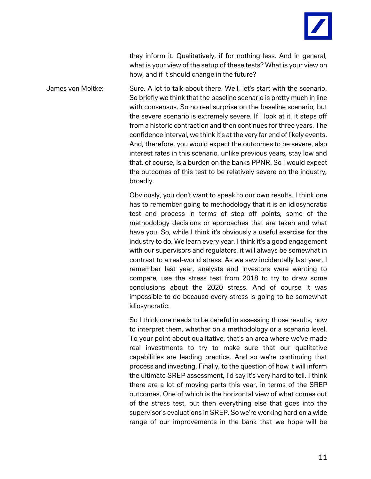they inform it. Qualitatively, if for nothing less. And in general, what is your view of the setup of these tests? What is your view on how, and if it should change in the future?

James von Moltke: Sure. A lot to talk about there. Well, let's start with the scenario. So briefly we think that the baseline scenario is pretty much in line with consensus. So no real surprise on the baseline scenario, but the severe scenario is extremely severe. If I look at it, it steps off from a historic contraction and then continues for three years. The confidence interval, we think it's at the very far end of likely events. And, therefore, you would expect the outcomes to be severe, also interest rates in this scenario, unlike previous years, stay low and that, of course, is a burden on the banks PPNR. So I would expect the outcomes of this test to be relatively severe on the industry, broadly.

> Obviously, you don't want to speak to our own results. I think one has to remember going to methodology that it is an idiosyncratic test and process in terms of step off points, some of the methodology decisions or approaches that are taken and what have you. So, while I think it's obviously a useful exercise for the industry to do. We learn every year, I think it's a good engagement with our supervisors and regulators, it will always be somewhat in contrast to a real-world stress. As we saw incidentally last year, I remember last year, analysts and investors were wanting to compare, use the stress test from 2018 to try to draw some conclusions about the 2020 stress. And of course it was impossible to do because every stress is going to be somewhat idiosyncratic.

> So I think one needs to be careful in assessing those results, how to interpret them, whether on a methodology or a scenario level. To your point about qualitative, that's an area where we've made real investments to try to make sure that our qualitative capabilities are leading practice. And so we're continuing that process and investing. Finally, to the question of how it will inform the ultimate SREP assessment, I'd say it's very hard to tell. I think there are a lot of moving parts this year, in terms of the SREP outcomes. One of which is the horizontal view of what comes out of the stress test, but then everything else that goes into the supervisor's evaluations in SREP. So we're working hard on a wide range of our improvements in the bank that we hope will be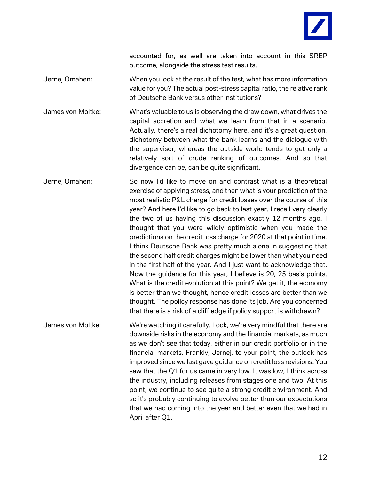

accounted for, as well are taken into account in this SREP outcome, alongside the stress test results.

Jernej Omahen: When you look at the result of the test, what has more information value for you? The actual post-stress capital ratio, the relative rank of Deutsche Bank versus other institutions?

James von Moltke: What's valuable to us is observing the draw down, what drives the capital accretion and what we learn from that in a scenario. Actually, there's a real dichotomy here, and it's a great question, dichotomy between what the bank learns and the dialogue with the supervisor, whereas the outside world tends to get only a relatively sort of crude ranking of outcomes. And so that divergence can be, can be quite significant.

Jernej Omahen: So now I'd like to move on and contrast what is a theoretical exercise of applying stress, and then what is your prediction of the most realistic P&L charge for credit losses over the course of this year? And here I'd like to go back to last year. I recall very clearly the two of us having this discussion exactly 12 months ago. I thought that you were wildly optimistic when you made the predictions on the credit loss charge for 2020 at that point in time. I think Deutsche Bank was pretty much alone in suggesting that the second half credit charges might be lower than what you need in the first half of the year. And I just want to acknowledge that. Now the guidance for this year, I believe is 20, 25 basis points. What is the credit evolution at this point? We get it, the economy is better than we thought, hence credit losses are better than we thought. The policy response has done its job. Are you concerned that there is a risk of a cliff edge if policy support is withdrawn?

James von Moltke: We're watching it carefully. Look, we're very mindful that there are downside risks in the economy and the financial markets, as much as we don't see that today, either in our credit portfolio or in the financial markets. Frankly, Jernej, to your point, the outlook has improved since we last gave guidance on credit loss revisions. You saw that the Q1 for us came in very low. It was low, I think across the industry, including releases from stages one and two. At this point, we continue to see quite a strong credit environment. And so it's probably continuing to evolve better than our expectations that we had coming into the year and better even that we had in April after Q1.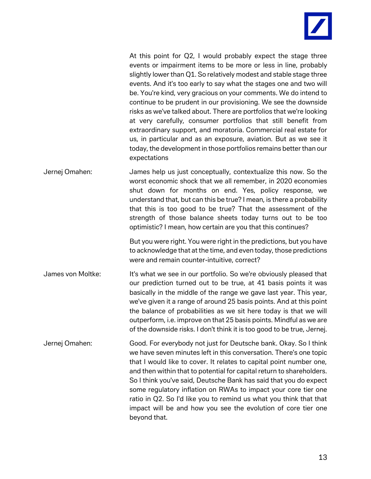

At this point for Q2, I would probably expect the stage three events or impairment items to be more or less in line, probably slightly lower than Q1. So relatively modest and stable stage three events. And it's too early to say what the stages one and two will be. You're kind, very gracious on your comments. We do intend to continue to be prudent in our provisioning. We see the downside risks as we've talked about. There are portfolios that we're looking at very carefully, consumer portfolios that still benefit from extraordinary support, and moratoria. Commercial real estate for us, in particular and as an exposure, aviation. But as we see it today, the development in those portfolios remains better than our expectations

Jernej Omahen: James help us just conceptually, contextualize this now. So the worst economic shock that we all remember, in 2020 economies shut down for months on end. Yes, policy response, we understand that, but can this be true? I mean, is there a probability that this is too good to be true? That the assessment of the strength of those balance sheets today turns out to be too optimistic? I mean, how certain are you that this continues?

> But you were right. You were right in the predictions, but you have to acknowledge that at the time, and even today, those predictions were and remain counter-intuitive, correct?

James von Moltke: It's what we see in our portfolio. So we're obviously pleased that our prediction turned out to be true, at 41 basis points it was basically in the middle of the range we gave last year. This year, we've given it a range of around 25 basis points. And at this point the balance of probabilities as we sit here today is that we will outperform, i.e. improve on that 25 basis points. Mindful as we are of the downside risks. I don't think it is too good to be true, Jernej.

Jernej Omahen: Good. For everybody not just for Deutsche bank. Okay. So I think we have seven minutes left in this conversation. There's one topic that I would like to cover. It relates to capital point number one, and then within that to potential for capital return to shareholders. So I think you've said, Deutsche Bank has said that you do expect some regulatory inflation on RWAs to impact your core tier one ratio in Q2. So I'd like you to remind us what you think that that impact will be and how you see the evolution of core tier one beyond that.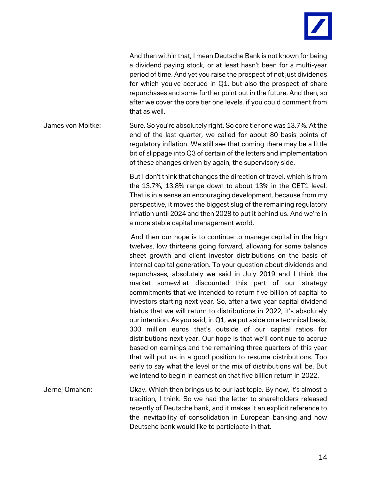

And then within that, I mean Deutsche Bank is not known for being a dividend paying stock, or at least hasn't been for a multi-year period of time. And yet you raise the prospect of not just dividends for which you've accrued in Q1, but also the prospect of share repurchases and some further point out in the future. And then, so after we cover the core tier one levels, if you could comment from that as well.

James von Moltke: Sure. So you're absolutely right. So core tier one was 13.7%. At the end of the last quarter, we called for about 80 basis points of regulatory inflation. We still see that coming there may be a little bit of slippage into Q3 of certain of the letters and implementation of these changes driven by again, the supervisory side.

> But I don't think that changes the direction of travel, which is from the 13.7%, 13.8% range down to about 13% in the CET1 level. That is in a sense an encouraging development, because from my perspective, it moves the biggest slug of the remaining regulatory inflation until 2024 and then 2028 to put it behind us. And we're in a more stable capital management world.

> And then our hope is to continue to manage capital in the high twelves, low thirteens going forward, allowing for some balance sheet growth and client investor distributions on the basis of internal capital generation. To your question about dividends and repurchases, absolutely we said in July 2019 and I think the market somewhat discounted this part of our strategy commitments that we intended to return five billion of capital to investors starting next year. So, after a two year capital dividend hiatus that we will return to distributions in 2022, it's absolutely our intention. As you said, in Q1, we put aside on a technical basis, 300 million euros that's outside of our capital ratios for distributions next year. Our hope is that we'll continue to accrue based on earnings and the remaining three quarters of this year that will put us in a good position to resume distributions. Too early to say what the level or the mix of distributions will be. But we intend to begin in earnest on that five billion return in 2022.

Jernej Omahen: Okay. Which then brings us to our last topic. By now, it's almost a tradition, I think. So we had the letter to shareholders released recently of Deutsche bank, and it makes it an explicit reference to the inevitability of consolidation in European banking and how Deutsche bank would like to participate in that.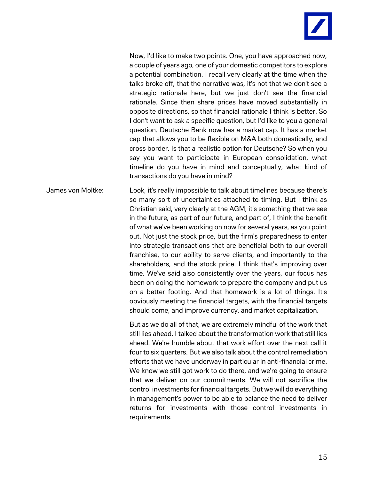

Now, I'd like to make two points. One, you have approached now, a couple of years ago, one of your domestic competitors to explore a potential combination. I recall very clearly at the time when the talks broke off, that the narrative was, it's not that we don't see a strategic rationale here, but we just don't see the financial rationale. Since then share prices have moved substantially in opposite directions, so that financial rationale I think is better. So I don't want to ask a specific question, but I'd like to you a general question. Deutsche Bank now has a market cap. It has a market cap that allows you to be flexible on M&A both domestically, and cross border. Is that a realistic option for Deutsche? So when you say you want to participate in European consolidation, what timeline do you have in mind and conceptually, what kind of transactions do you have in mind?

James von Moltke: Look, it's really impossible to talk about timelines because there's so many sort of uncertainties attached to timing. But I think as Christian said, very clearly at the AGM, it's something that we see in the future, as part of our future, and part of, I think the benefit of what we've been working on now for several years, as you point out. Not just the stock price, but the firm's preparedness to enter into strategic transactions that are beneficial both to our overall franchise, to our ability to serve clients, and importantly to the shareholders, and the stock price. I think that's improving over time. We've said also consistently over the years, our focus has been on doing the homework to prepare the company and put us on a better footing. And that homework is a lot of things. It's obviously meeting the financial targets, with the financial targets should come, and improve currency, and market capitalization.

> But as we do all of that, we are extremely mindful of the work that still lies ahead. I talked about the transformation work that still lies ahead. We're humble about that work effort over the next call it four to six quarters. But we also talk about the control remediation efforts that we have underway in particular in anti-financial crime. We know we still got work to do there, and we're going to ensure that we deliver on our commitments. We will not sacrifice the control investments for financial targets. But we will do everything in management's power to be able to balance the need to deliver returns for investments with those control investments in requirements.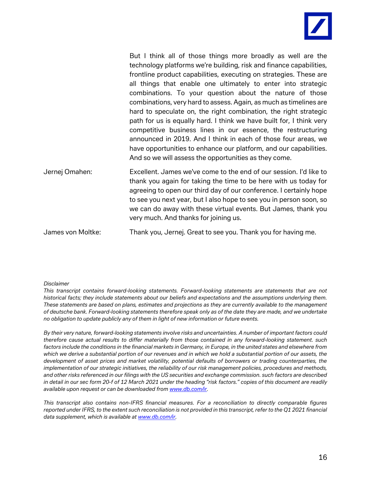

But I think all of those things more broadly as well are the technology platforms we're building, risk and finance capabilities, frontline product capabilities, executing on strategies. These are all things that enable one ultimately to enter into strategic combinations. To your question about the nature of those combinations, very hard to assess. Again, as much as timelines are hard to speculate on, the right combination, the right strategic path for us is equally hard. I think we have built for, I think very competitive business lines in our essence, the restructuring announced in 2019. And I think in each of those four areas, we have opportunities to enhance our platform, and our capabilities. And so we will assess the opportunities as they come.

Jernej Omahen: Excellent. James we've come to the end of our session. I'd like to thank you again for taking the time to be here with us today for agreeing to open our third day of our conference. I certainly hope to see you next year, but I also hope to see you in person soon, so we can do away with these virtual events. But James, thank you very much. And thanks for joining us.

James von Moltke: Thank you, Jernej. Great to see you. Thank you for having me.

## *Disclaimer*

*This transcript contains forward-looking statements. Forward-looking statements are statements that are not historical facts; they include statements about our beliefs and expectations and the assumptions underlying them. These statements are based on plans, estimates and projections as they are currently available to the management of deutsche bank. Forward-looking statements therefore speak only as of the date they are made, and we undertake no obligation to update publicly any of them in light of new information or future events.*

*By their very nature, forward-looking statements involve risks and uncertainties. A number of important factors could therefore cause actual results to differ materially from those contained in any forward-looking statement. such factors include the conditions in the financial markets in Germany, in Europe, in the united states and elsewhere from which we derive a substantial portion of our revenues and in which we hold a substantial portion of our assets, the development of asset prices and market volatility, potential defaults of borrowers or trading counterparties, the implementation of our strategic initiatives, the reliability of our risk management policies, procedures and methods, and other risks referenced in our filings with the US securities and exchange commission. such factors are described in detail in our sec form 20-f of 12 March 2021 under the heading "risk factors." copies of this document are readily available upon request or can be downloaded from [www.db.com/ir.](http://www.db.com/ir)*

*This transcript also contains non-IFRS financial measures. For a reconciliation to directly comparable figures reported under IFRS, to the extent such reconciliation is not provided in this transcript, refer to the Q1 2021 financial data supplement, which is available at [www.db.com/ir.](http://www.db.com/ir)*